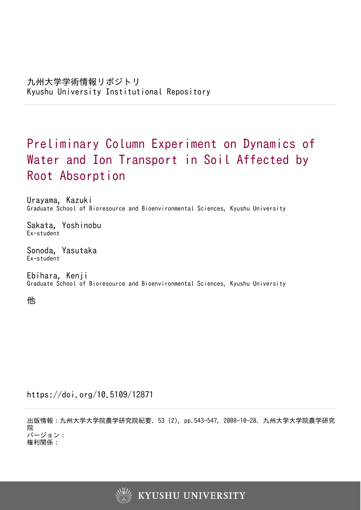# Preliminary Column Experiment on Dynamics of Water and Ion Transport in Soil Affected by Root Absorption

Urayama, Kazuki Graduate School of Bioresource and Bioenvironmental Sciences, Kyushu University

Sakata, Yoshinobu Ex-student

Sonoda, Yasutaka Ex-student

Ebihara, Kenji Graduate School of Bioresource and Bioenvironmental Sciences, Kyushu University

他

https://doi.org/10.5109/12871

出版情報:九州大学大学院農学研究院紀要. 53 (2), pp.543-547, 2008-10-28. 九州大学大学院農学研究 院 バージョン:

権利関係:

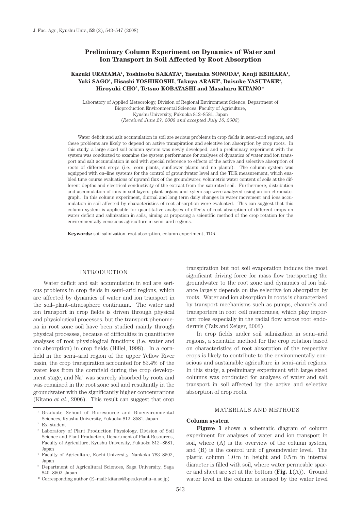# **Preliminary Column Experiment on Dynamics of Water and Ion Transport in Soil Affected by Root Absorption**

# Kazuki URAYAMA<sup>ı</sup>, Yoshinobu SAKATA<sup>2</sup>, Yasutaka SONODA<sup>2</sup>, Kenji EBIHARA<sup>1</sup>, Yuki SAGO<sup>1</sup>, Hisashi YOSHIKOSHI, Takuya ARAKI<sup>3</sup>, Daisuke YASUTAKE<sup>4</sup>, **Hiroyuki CHO5 , Tetsuo KOBAYASHI and Masaharu KITANO\***

Laboratory of Applied Meteorology, Division of Regional Environment Science, Department of Bioproduction Environmental Sciences, Faculty of Agriculture, Kyushu University, Fukuoka 812–8581, Japan (*Received June 27, 2008 and accepted July 16, 2008*)

Water deficit and salt accumulation in soil are serious problems in crop fields in semi–arid regions, and these problems are likely to depend on active transpiration and selective ion absorption by crop roots. In this study, a large sized soil column system was newly developed, and a preliminary experiment with the system was conducted to examine the system performance for analyses of dynamics of water and ion transport and salt accumulation in soil with special reference to effects of the active and selective absorption of roots of different crops (i.e., corn plants, sunflower plants and no plants). The column system was equipped with on–line systems for the control of groundwater level and the TDR measurement, which enabled time course evaluations of upward flux of the groundwater, volumetric water content of soils at the different depths and electrical conductivity of the extract from the saturated soil. Furthermore, distribution and accumulation of ions in soil layers, plant organs and xylem sap were analyzed using an ion chromatograph. In this column experiment, diurnal and long term daily changes in water movement and ions accumulation in soil affected by characteristics of root absorption were evaluated. This can suggest that this column system is applicable for quantitative analyses of effects of root absorption of different crops on water deficit and salinization in soils, aiming at proposing a scientific method of the crop rotation for the environmentally conscious agriculture in semi–arid regions.

**Keywords:** soil salinization, root absorption, column experiment, TDR

#### INTRODUCTION

Water deficit and salt accumulation in soil are serious problems in crop fields in semi–arid regions, which are affected by dynamics of water and ion transport in the soil–plant–atmosphere continuum. The water and ion transport in crop fields is driven through physical and physiological processes, but the transport phenomena in root zone soil have been studied mainly through physical processes, because of difficulties in quantitative analyses of root physiological functions (i.e. water and ion absorption) in crop fields (Hillel, 1998). In a cornfield in the semi–arid region of the upper Yellow River basin, the crop transpiration accounted for 83.4% of the water loss from the cornfield during the crop development stage, and Na+ was scarcely absorbed by roots and was remained in the root zone soil and resultantly in the groundwater with the significantly higher concentrations (Kitano *et al*., 2006). This result can suggest that crop

transpiration but not soil evaporation induces the most significant driving force for mass flow transporting the groundwater to the root zone and dynamics of ion balance largely depends on the selective ion absorption by roots. Water and ion absorption in roots is characterized by transport mechanisms such as pumps, channels and transporters in root cell membranes, which play important roles especially in the radial flow across root endodermis (Taiz and Zeiger, 2002).

In crop fields under soil salinization in semi–arid regions, a scientific method for the crop rotation based on characteristics of root absorption of the respective crops is likely to contribute to the environmentally conscious and sustainable agriculture in semi–arid regions. In this study, a preliminary experiment with large sized columns was conducted for analyses of water and salt transport in soil affected by the active and selective absorption of crop roots.

## MATERIALS AND METHODS

#### **Column system**

**Figure 1** shows a schematic diagram of column experiment for analyses of water and ion transport in soil, where (A) is the overview of the column system, and (B) is the control unit of groundwater level. The plastic column 1.0 m in height and 0.5 m in internal diameter is filled with soil, where water permeable spacer and sheet are set at the bottom (**Fig. 1**(A)). Ground water level in the column is sensed by the water level

<sup>1</sup> Graduate School of Bioresource and Bioenvironmental Sciences, Kyushu University, Fukuoka 812−8581, Japan 2 Ex–student

<sup>3</sup> Laboratory of Plant Production Physiology, Division of Soil Science and Plant Production, Department of Plant Resources, Faculty of Agriculture, Kyushu University, Fukuoka 812−8581, Japan

<sup>4</sup> Faculty of Agriculture, Kochi University, Nankoku 783–8502, Japan

<sup>5</sup> Department of Agricultural Sciences, Saga University, Saga 840−8502, Japan

<sup>\*</sup> Corresponding author (E–mail: kitano@bpes.kyushu–u.ac.jp)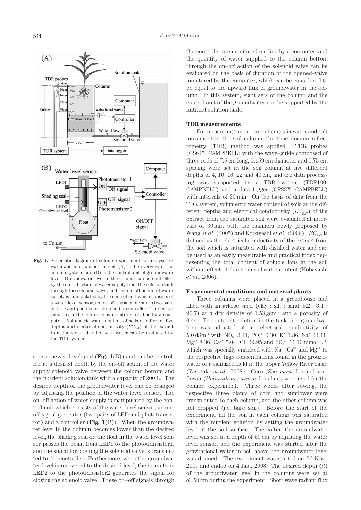

**Fig. 1.** Schematic diagram of column experiment for analyses of water and ion transport in soil: (A) is the overview of the column system, and (B) is the control unit of groundwater level. Groundwater level in the column can be controlled by the on–off action of water supply from the solution tank through the solenoid valve, and the on–off action of water supply is manipulated by the control unit which consists of a water level sensor, an on–off signal generator (two pairs of LED and phototransistor) and a controller. The on–off signal from the controller is monitored on–line by a computer. Volumetric water content of soils at different five depths and electrical conductivity  $(EC_{\text{SAT}})$  of the extract from the soils saturated with water can be evaluated by the TDR system.

sensor newly developed (**Fig. 1**(B)) and can be controlled at a desired depth by the on–off action of the water supply solenoid valve between the column bottom and the nutrient solution tank with a capacity of 200 L. The desired depth of the groundwater level can be changed by adjusting the position of the water level sensor. The on–off action of water supply is manipulated by the control unit which consists of the water level sensor, an on– off signal generator (two pairs of LED and phototransistor) and a controller (**Fig. 1**(B)). When the groundwater level in the column becomes lower than the desired level, the shading seal on the float in the water level sensor passes the beam from LED1 to the phototransistor1, and the signal for opening the solenoid valve is transmitted to the controller. Furthermore, when the groundwater level is recovered to the desired level, the beam from LED2 to the phototransistor2 generates the signal for closing the solenoid valve. These on–off signals through the controller are monitored on–line by a computer, and the quantity of water supplied to the column bottom through the on–off action of the solenoid valve can be evaluated on the basis of duration of the opened–valve monitored by the computer, which can be considered to be equal to the upward flux of groundwater in the column. In this system, eight sets of the column and the control unit of the groundwater can be supported by the nutrient solution tank.

### **TDR measurements**

For measuring time course changes in water and salt movement in the soil column, the time domain reflectometry (TDR) method was applied. TDR probes (CS645, CAMPBELL) with the wave–guide composed of three rods of 7.5 cm long, 0.159 cm diameter and 0.75 cm spacing were set in the soil column at five different depths of 4, 10, 16, 22 and 40 cm, and the data processing was supported by a TDR system (TDR100, CAMPBELL) and a data logger (CR23X, CAMPBELL) with intervals of 30 min. On the basis of data from the TDR system, volumetric water content of soils at the different depths and electrical conductivity  $(EC_{\text{SAT}})$  of the extract from the saturated soil were evaluated at intervals of 30 min with the manners newly proposed by Wang *et al.* (2005) and Kobayashi *et al.* (2006).  $EC_{\text{SAT}}$  is defined as the electrical conductivity of the extract from the soil which is saturated with distilled water and can be used as an easily measurable and practical index representing the total content of soluble ions in the soil without effect of change in soil water content (Kobayashi *et al*., 2006).

#### **Experimental conditions and material plants**

Three columns were placed in a greenhouse and filled with an arkose sand (clay : silt : sand=6.2 : 3.1 : 90.7) at a dry density of 1.53 gcm–3 and a porosity of 0.44. The nutrient solution in the tank (i.e. groundwater) was adjusted at an electrical conductivity of  $5.0$  dSm<sup>-1</sup> with NO<sub>3</sub><sup>-</sup> 3.41, PO<sub>4</sub><sup>3</sup><sup>-</sup> 0.30, K<sup>+</sup> 1.86, Na<sup>+</sup> 23.11,  $Mg^{2+}$  8.36, Ca<sup>2+</sup> 5.04, Cl<sup>-</sup> 29.95 and SO<sub>4</sub><sup>2-</sup> 11.10 mmol L<sup>-1</sup>, which was specially enriched with  $Na^*$ ,  $Ca^{2+}$  and  $Mg^{2+}$  to the respective high concentrations found in the groundwater of a salinized field in the upper Yellow River basin (Yasutake *et al*., 2008). Corn (*Zea mays* L.) and sunflower (*Helianthus annuus* L.) plants were used for the column experiment. Three weeks after sowing, the respective three plants of corn and sunflower were transplanted to each column, and the other column was not cropped (i.e. bare soil). Before the start of the experiment, all the soil in each column was saturated with the nutrient solution by setting the groundwater level at the soil surface. Thereafter, the groundwater level was set at a depth of 50 cm by adjusting the water level sensor, and the experiment was started after the gravitational water in soil above the groundwater level was drained. The experiment was started on 26 Nov., 2007 and ended on 4 Jan., 2008. The desired depth (*d*) of the groundwater level in the columns were set at *d*=50 cm during the experiment. Short wave radiant flux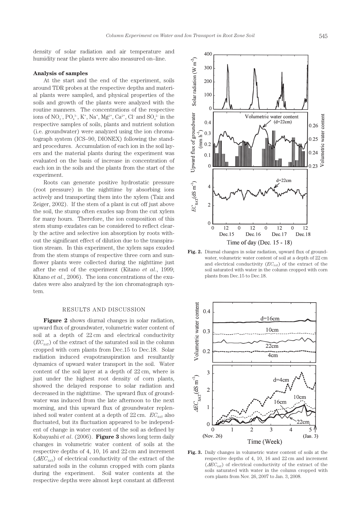density of solar radiation and air temperature and humidity near the plants were also measured on–line.

#### **Analysis of samples**

At the start and the end of the experiment, soils around TDR probes at the respective depths and material plants were sampled, and physical properties of the soils and growth of the plants were analyzed with the routine manners. The concentrations of the respective ions of  $NO_3^-$ ,  $PO_4^{3-}$ ,  $K^+$ ,  $Na^+$ ,  $Mg^{2+}$ ,  $Ca^{2+}$ ,  $Cl^-$  and  $SO_4^{2-}$  in the respective samples of soils, plants and nutrient solution (i.e. groundwater) were analyzed using the ion chromatograph system (ICS–90, DIONEX) following the standard procedures. Accumulation of each ion in the soil layers and the material plants during the experiment was evaluated on the basis of increase in concentration of each ion in the soils and the plants from the start of the experiment.

Roots can generate positive hydrostatic pressure (root pressure) in the nighttime by absorbing ions actively and transporting them into the xylem (Taiz and Zeiger, 2002). If the stem of a plant is cut off just above the soil, the stump often exudes sap from the cut xylem for many hours. Therefore, the ion composition of this stem stump exudates can be considered to reflect clearly the active and selective ion absorption by roots without the significant effect of dilution due to the transpiration stream. In this experiment, the xylem saps exuded from the stem stumps of respective three corn and sunflower plants were collected during the nighttime just after the end of the experiment (Kitano *et al*., 1999; Kitano *et al*., 2006). The ions concentrations of the exudates were also analyzed by the ion chromatograph system.

### RESULTS AND DISCUSSION

**Figure 2** shows diurnal changes in solar radiation, upward flux of groundwater, volumetric water content of soil at a depth of 22 cm and electrical conductivity  $(EC<sub>SAT</sub>)$  of the extract of the saturated soil in the column cropped with corn plants from Dec.15 to Dec.18. Solar radiation induced evapotranspiration and resultantly dynamics of upward water transport in the soil. Water content of the soil layer at a depth of 22 cm, where is just under the highest root density of corn plants, showed the delayed response to solar radiation and decreased in the nighttime. The upward flux of groundwater was induced from the late afternoon to the next morning, and this upward flux of groundwater replenished soil water content at a depth of  $22 \text{ cm}$ .  $EC_{\text{SAT}}$  also fluctuated, but its fluctuation appeared to be independent of change in water content of the soil as defined by Kobayashi *et al*. (2006). **Figure 3** shows long term daily changes in volumetric water content of soils at the respective depths of 4, 10, 16 and 22 cm and increment  $(\Delta EC_{\text{SAT}})$  of electrical conductivity of the extract of the saturated soils in the column cropped with corn plants during the experiment. Soil water contents at the respective depths were almost kept constant at different



**Fig. 2.** Diurnal changes in solar radiation, upward flux of groundwater, volumetric water content of soil at a depth of 22 cm and electrical conductivity ( $EC<sub>SAT</sub>$ ) of the extract of the soil saturated with water in the column cropped with corn plants from Dec.15 to Dec.18.



**Fig. 3.** Daily changes in volumetric water content of soils at the respective depths of 4, 10, 16 and 22 cm and increment ( $\Delta EC<sub>SAT</sub>$ ) of electrical conductivity of the extract of the soils saturated with water in the column cropped with corn plants from Nov. 26, 2007 to Jan. 3, 2008.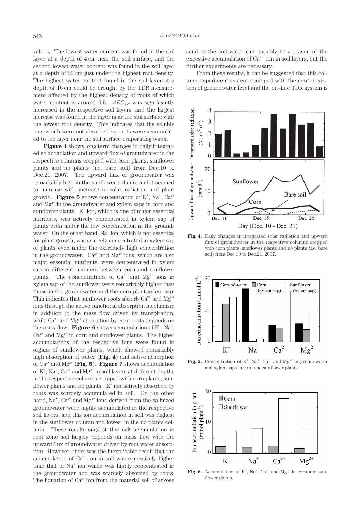values. The lowest water content was found in the soil layer at a depth of 4 cm near the soil surface, and the second lowest water content was found in the soil layer at a depth of 22 cm just under the highest root density. The highest water content found in the soil layer at a depth of 16 cm could be brought by the TDR measurement affected by the highest density of roots of which water content is around 0.9.  $\triangle E C_{\text{SAT}}$  was significantly increased in the respective soil layers, and the largest increase was found in the layer near the soil surface with the lowest root density. This indicates that the soluble ions which were not absorbed by roots were accumulated to the layer near the soil surface evaporating water.

**Figure 4** shows long term changes in daily integrated solar radiation and upward flux of groundwater in the respective columns cropped with corn plants, sunflower plants and no plants (i.e. bare soil) from Dec.10 to Dec.21, 2007. The upward flux of groundwater was remarkably high in the sunflower column, and it seemed to increase with increase in solar radiation and plant growth. **Figure 5** shows concentration of  $K^*$ , Na<sup>+</sup>, Ca<sup>2+</sup> and Mg<sup>2+</sup> in the groundwater and xylem saps in corn and sunflower plants.  $K^+$  ion, which is one of major essential nutrients, was actively concentrated in xylem sap of plants even under the low concentration in the groundwater. On the other hand, Na<sup>+</sup> ion, which is not essential for plant growth, was scarcely concentrated in xylem sap of plants even under the extremely high concentration in the groundwater.  $Ca^{2+}$  and  $Mg^{2+}$  ions, which are also major essential nutrients, were concentrated in xylem sap in different manners between corn and sunflower plants. The concentrations of  $Ca^{2+}$  and  $Mg^{2+}$  ions in xylem sap of the sunflower were remarkably higher than those in the groundwater and the corn plant xylem sap. This indicates that sunflower roots absorb  $Ca^{2+}$  and  $Mg^{2+}$ ions through the active functional absorption mechanism in addition to the mass flow driven by transpiration, while  $Ca^{2+}$  and  $Mg^{2+}$  absorption by corn roots depends on the mass flow. **Figure 6** shows accumulation of  $K^*$ , Na<sup>+</sup>,  $Ca^{2+}$  and  $Mg^{2+}$  in corn and sunflower plants. The higher accumulations of the respective ions were found in organs of sunflower plants, which showed remarkably high absorption of water (**Fig. 4**) and active absorption of Ca<sup>2+</sup> and Mg<sup>2+</sup> (**Fig. 5**). **Figure 7** shows accumulation of  $K^*$ ,  $Na^*$ ,  $Ca^{2*}$  and  $Mg^{2*}$  in soil layers at different depths in the respective columns cropped with corn plants, sunflower plants and no plants. K<sup>+</sup> ion actively absorbed by roots was scarcely accumulated in soil. On the other hand, Na<sup>+</sup>, Ca<sup>2+</sup> and Mg<sup>2+</sup> ions derived from the salinized groundwater were highly accumulated in the respective soil layers, and this ion accumulation in soil was highest in the sunflower column and lowest in the no plants column. These results suggest that salt accumulation in root zone soil largely depends on mass flow with the upward flux of groundwater driven by root water absorption. However, there was the inexplicable result that the accumulation of  $Ca^{2+}$  ion in soil was excessively higher than that of Na<sup>+</sup> ion which was highly concentrated in the groundwater and was scarcely absorbed by roots. The liquation of  $Ca^{2+}$  ion from the material soil of arkose sand to the soil water can possibly be a reason of the excessive accumulation of  $Ca^{2+}$  ion in soil layers, but the further experiments are necessary.

From these results, it can be suggested that this column experiment system equipped with the control system of groundwater level and the on–line TDR system is



**Fig. 4.** Daily changes in integrated solar radiation and upward flux of groundwater in the respective columns cropped with corn plants, sunflower plants and no plants (i.e. bare soil) from Dec.10 to Dec.21, 2007.



**Fig. 5.** Concentration of  $K^*$ , Na<sup>+</sup>, Ca<sup>2+</sup> and Mg<sup>2+</sup> in groundwater and xylem saps in corn and sunflower plants.



Fig. 6. Accumulation of  $K^+$ ,  $Na^+$ ,  $Ca^{2+}$  and  $Mg^{2+}$  in corn and sunflower plants.